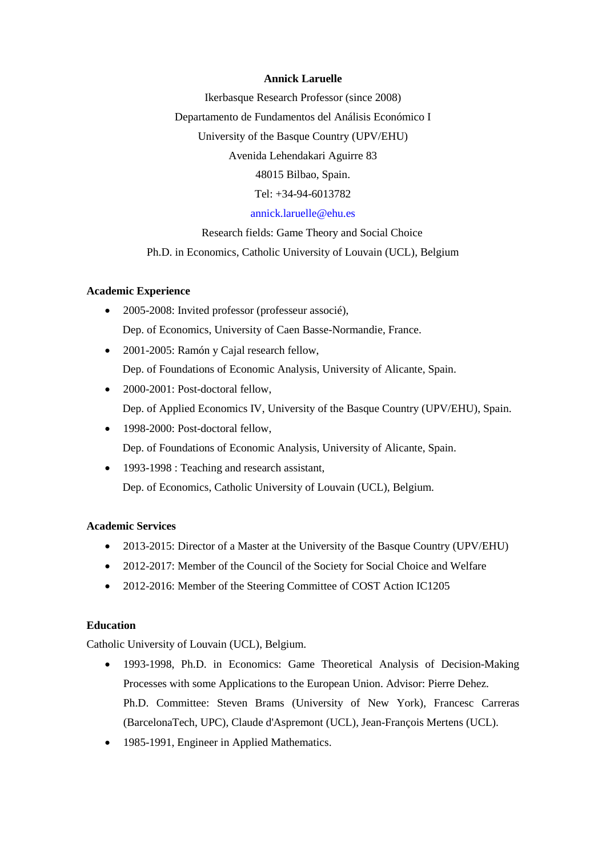#### **Annick Laruelle**

Ikerbasque Research Professor (since 2008) Departamento de Fundamentos del Análisis Económico I University of the Basque Country (UPV/EHU) Avenida Lehendakari Aguirre 83 48015 Bilbao, Spain. Tel: +34-94-6013782 [annick.laruelle@ehu.es](mailto:annick.laruelle@ehu.es) Research fields: Game Theory and Social Choice

Ph.D. in Economics, Catholic University of Louvain (UCL), Belgium

#### **Academic Experience**

- 2005-2008: Invited professor (professeur associé), Dep. of Economics, University of Caen Basse-Normandie, France.
- 2001-2005: Ramón y Cajal research fellow, Dep. of Foundations of Economic Analysis, University of Alicante, Spain.
- 2000-2001: Post-doctoral fellow. Dep. of Applied Economics IV, University of the Basque Country (UPV/EHU), Spain.
- 1998-2000: Post-doctoral fellow, Dep. of Foundations of Economic Analysis, University of Alicante, Spain.
- 1993-1998 : Teaching and research assistant, Dep. of Economics, Catholic University of Louvain (UCL), Belgium.

#### **Academic Services**

- 2013-2015: Director of a Master at the University of the Basque Country (UPV/EHU)
- 2012-2017: Member of the Council of the Society for Social Choice and Welfare
- 2012-2016: Member of the Steering Committee of COST Action IC1205

# **Education**

Catholic University of Louvain (UCL), Belgium.

- 1993-1998, Ph.D. in Economics: Game Theoretical Analysis of Decision-Making Processes with some Applications to the European Union. Advisor: Pierre Dehez. Ph.D. Committee: Steven Brams (University of New York), Francesc Carreras (BarcelonaTech, UPC), Claude d'Aspremont (UCL), Jean-François Mertens (UCL).
- 1985-1991, Engineer in Applied Mathematics.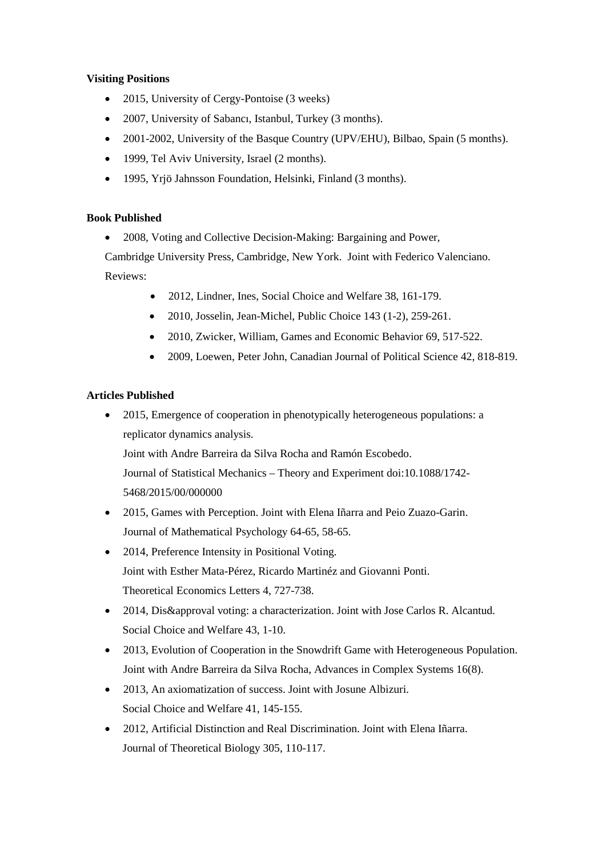# **Visiting Positions**

- 2015, University of Cergy-Pontoise (3 weeks)
- 2007, University of Sabancı, Istanbul, Turkey (3 months).
- 2001-2002, University of the Basque Country (UPV/EHU), Bilbao, Spain (5 months).
- 1999, Tel Aviv University, Israel (2 months).
- 1995, Yrjö Jahnsson Foundation, Helsinki, Finland (3 months).

# **Book Published**

• 2008, Voting and Collective Decision-Making: Bargaining and Power,

Cambridge University Press, Cambridge, New York. Joint with Federico Valenciano. Reviews:

- 2012, Lindner, Ines, Social Choice and Welfare 38, 161-179.
- 2010, Josselin, Jean-Michel, Public Choice 143 (1-2), 259-261.
- 2010, Zwicker, William, Games and Economic Behavior 69, 517-522.
- 2009, Loewen, Peter John, Canadian Journal of Political Science 42, 818-819.

# **Articles Published**

• 2015, Emergence of cooperation in phenotypically heterogeneous populations: a replicator dynamics analysis.

Joint with Andre Barreira da Silva Rocha and Ramón Escobedo.

Journal of Statistical Mechanics – Theory and Experiment doi:10.1088/1742- 5468/2015/00/000000

- 2015, Games with Perception. Joint with Elena Iñarra and Peio Zuazo-Garin. Journal of Mathematical Psychology 64-65, 58-65.
- 2014, Preference Intensity in Positional Voting. Joint with Esther Mata-Pérez, Ricardo Martinéz and Giovanni Ponti. Theoretical Economics Letters 4, 727-738.
- 2014, Dis&approval voting: a characterization. Joint with Jose Carlos R. Alcantud. Social Choice and Welfare 43, 1-10.
- 2013, Evolution of Cooperation in the Snowdrift Game with Heterogeneous Population. Joint with Andre Barreira da Silva Rocha, Advances in Complex Systems 16(8).
- 2013, An axiomatization of success. Joint with Josune Albizuri. Social Choice and Welfare 41, 145-155.
- 2012, Artificial Distinction and Real Discrimination. Joint with Elena Iñarra. Journal of Theoretical Biology 305, 110-117.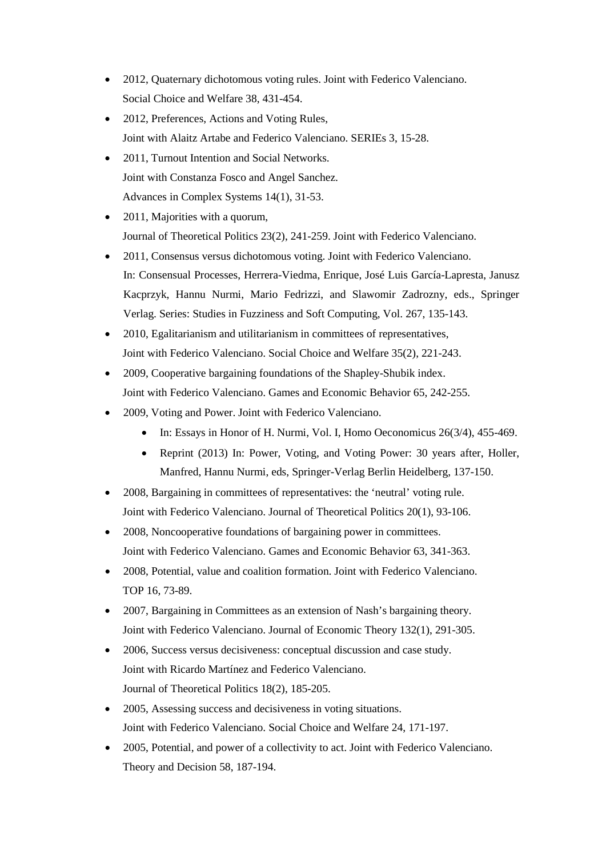- 2012, Quaternary dichotomous voting rules. Joint with Federico Valenciano. Social Choice and Welfare 38, 431-454.
- 2012, Preferences, Actions and Voting Rules, Joint with Alaitz Artabe and Federico Valenciano. SERIEs 3, 15-28.
- 2011, Turnout Intention and Social Networks. Joint with Constanza Fosco and Angel Sanchez. Advances in Complex Systems 14(1), 31-53.
- 2011, Majorities with a quorum, Journal of Theoretical Politics 23(2), 241-259. Joint with Federico Valenciano.
- 2011, Consensus versus dichotomous voting. Joint with Federico Valenciano. In: Consensual Processes, Herrera-Viedma, Enrique, José Luis García-Lapresta, Janusz Kacprzyk, Hannu Nurmi, Mario Fedrizzi, and Slawomir Zadrozny, eds., Springer Verlag. Series: Studies in Fuzziness and Soft [Computing,](http://www.springer.com/series/2941) Vol. 267, 135-143.
- 2010, Egalitarianism and utilitarianism in committees of representatives, Joint with Federico Valenciano. Social Choice and Welfare 35(2), 221-243.
- 2009, Cooperative bargaining foundations of the Shapley-Shubik index. Joint with Federico Valenciano. Games and Economic Behavior 65, 242-255.
- 2009, Voting and Power. Joint with Federico Valenciano.
	- In: Essays in Honor of H. Nurmi, Vol. I, Homo Oeconomicus 26(3/4), 455-469.
	- Reprint (2013) In: Power, Voting, and Voting Power: 30 years after, Holler, Manfred, Hannu Nurmi, eds, Springer-Verlag Berlin Heidelberg, 137-150.
- 2008, Bargaining in committees of representatives: the 'neutral' voting rule. Joint with Federico Valenciano. Journal of Theoretical Politics 20(1), 93-106.
- 2008, Noncooperative foundations of bargaining power in committees. Joint with Federico Valenciano. Games and Economic Behavior 63, 341-363.
- 2008, Potential, value and coalition formation. Joint with Federico Valenciano. TOP 16, 73-89.
- 2007, Bargaining in Committees as an extension of Nash's bargaining theory. Joint with Federico Valenciano. Journal of Economic Theory 132(1), 291-305.
- 2006, Success versus decisiveness: conceptual discussion and case study. Joint with Ricardo Martínez and Federico Valenciano. Journal of Theoretical Politics 18(2), 185-205.
- 2005, Assessing success and decisiveness in voting situations. Joint with Federico Valenciano. Social Choice and Welfare 24, 171-197.
- 2005, Potential, and power of a collectivity to act. Joint with Federico Valenciano. Theory and Decision 58, 187-194.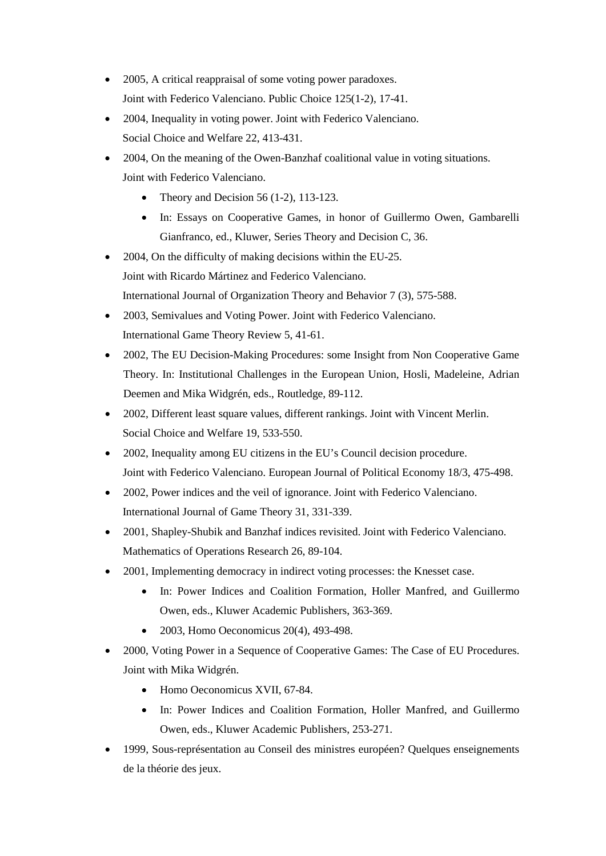- 2005, A critical reappraisal of some voting power paradoxes. Joint with Federico Valenciano. Public Choice 125(1-2), 17-41.
- 2004, Inequality in voting power. Joint with Federico Valenciano. Social Choice and Welfare 22, 413-431.
- 2004, On the meaning of the Owen-Banzhaf coalitional value in voting situations. Joint with Federico Valenciano.
	- Theory and Decision 56 (1-2), 113-123.
	- In: Essays on Cooperative Games, in honor of Guillermo Owen, Gambarelli Gianfranco, ed., Kluwer, Series Theory and Decision C, 36.
- 2004, On the difficulty of making decisions within the EU-25. Joint with Ricardo Mártinez and Federico Valenciano. International Journal of Organization Theory and Behavior 7 (3), 575-588.
- 2003, Semivalues and Voting Power. Joint with Federico Valenciano. International Game Theory Review 5, 41-61.
- 2002, The EU Decision-Making Procedures: some Insight from Non Cooperative Game Theory. In: Institutional Challenges in the European Union, Hosli, Madeleine, Adrian Deemen and Mika Widgrén, eds., Routledge, 89-112.
- 2002, Different least square values, different rankings. Joint with Vincent Merlin. Social Choice and Welfare 19, 533-550.
- 2002, Inequality among EU citizens in the EU's Council decision procedure. Joint with Federico Valenciano. European Journal of Political Economy 18/3, 475-498.
- 2002, Power indices and the veil of ignorance. Joint with Federico Valenciano. International Journal of Game Theory 31, 331-339.
- 2001, Shapley-Shubik and Banzhaf indices revisited. Joint with Federico Valenciano. Mathematics of Operations Research 26, 89-104.
- 2001, Implementing democracy in indirect voting processes: the Knesset case.
	- In: Power Indices and Coalition Formation, Holler Manfred, and Guillermo Owen, eds., Kluwer Academic Publishers, 363-369.
	- 2003, Homo Oeconomicus 20(4), 493-498.
- 2000, Voting Power in a Sequence of Cooperative Games: The Case of EU Procedures. Joint with Mika Widgrén.
	- Homo Oeconomicus XVII, 67-84.
	- In: Power Indices and Coalition Formation, Holler Manfred, and Guillermo Owen, eds., Kluwer Academic Publishers, 253-271.
- 1999, Sous-représentation au Conseil des ministres européen? Quelques enseignements de la théorie des jeux.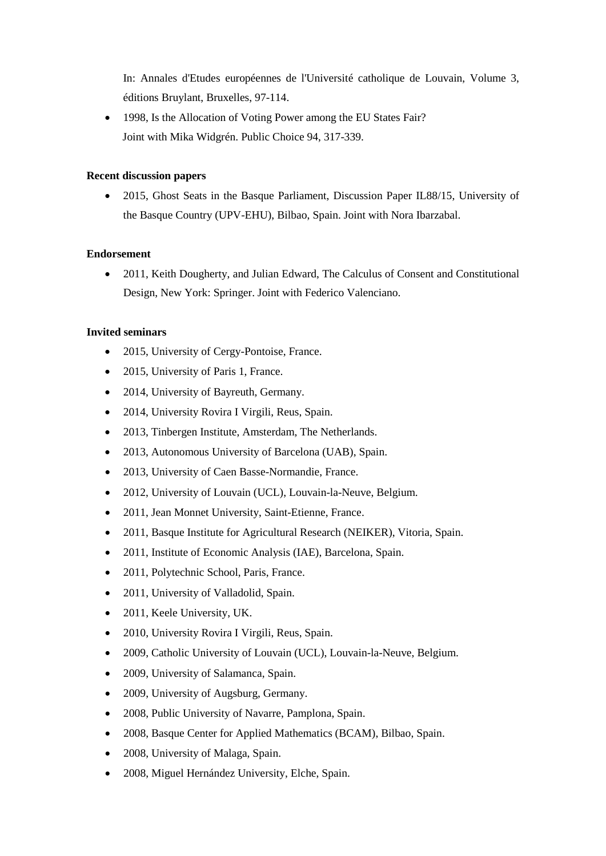In: Annales d'Etudes européennes de l'Université catholique de Louvain, Volume 3, éditions Bruylant, Bruxelles, 97-114.

• 1998. Is the Allocation of Voting Power among the EU States Fair? Joint with Mika Widgrén. Public Choice 94, 317-339.

#### **Recent discussion papers**

• 2015, Ghost Seats in the Basque Parliament, Discussion Paper IL88/15, University of the Basque Country (UPV-EHU), Bilbao, Spain. Joint with Nora Ibarzabal.

#### **Endorsement**

• 2011, Keith Dougherty, and Julian Edward, The Calculus of Consent and Constitutional Design, New York: Springer. Joint with Federico Valenciano.

#### **Invited seminars**

- 2015, University of Cergy-Pontoise, France.
- 2015, University of Paris 1, France.
- 2014, University of Bayreuth, Germany.
- 2014, University Rovira I Virgili, Reus, Spain.
- 2013, Tinbergen Institute, Amsterdam, The Netherlands.
- 2013, Autonomous University of Barcelona (UAB), Spain.
- 2013, University of Caen Basse-Normandie, France.
- 2012, University of Louvain (UCL), Louvain-la-Neuve, Belgium.
- 2011, Jean Monnet University, Saint-Etienne, France.
- 2011, Basque Institute for Agricultural Research (NEIKER), Vitoria, Spain.
- 2011, Institute of Economic Analysis (IAE), Barcelona, Spain.
- 2011, Polytechnic School, Paris, France.
- 2011, University of Valladolid, Spain.
- 2011, Keele University, UK.
- 2010, University Rovira I Virgili, Reus, Spain.
- 2009, Catholic University of Louvain (UCL), Louvain-la-Neuve, Belgium.
- 2009, University of Salamanca, Spain.
- 2009, University of Augsburg, Germany.
- 2008, Public University of Navarre, Pamplona, Spain.
- 2008, Basque Center for Applied Mathematics (BCAM), Bilbao, Spain.
- 2008, University of Malaga, Spain.
- 2008, Miguel Hernández University, Elche, Spain.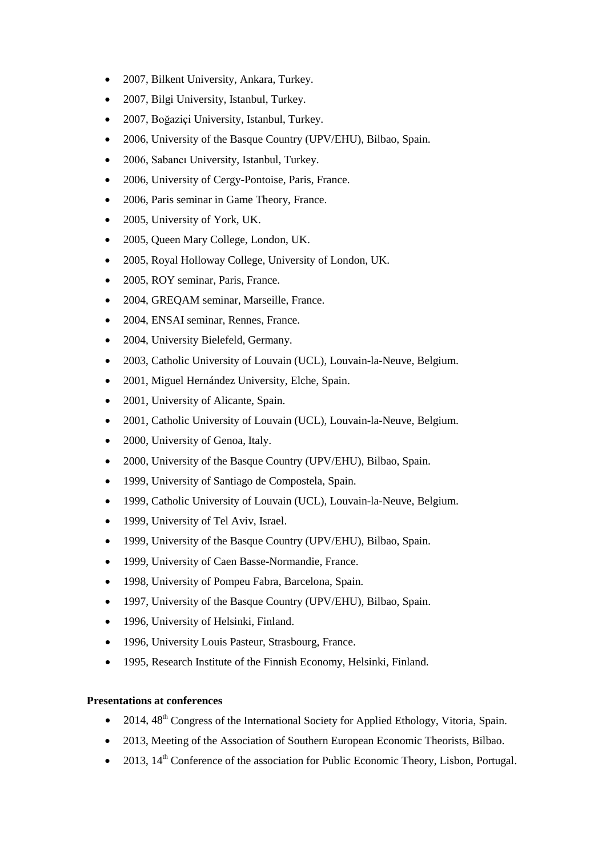- 2007, Bilkent University, Ankara, Turkey.
- 2007, Bilgi University, Istanbul, Turkey.
- 2007, Boğaziçi University, Istanbul, Turkey.
- 2006, University of the Basque Country (UPV/EHU), Bilbao, Spain.
- 2006, Sabancı University, Istanbul, Turkey.
- 2006, University of Cergy-Pontoise, Paris, France.
- 2006, Paris seminar in Game Theory, France.
- 2005, University of York, UK.
- 2005, Queen Mary College, London, UK.
- 2005, Royal Holloway College, University of London, UK.
- 2005, ROY seminar, Paris, France.
- 2004, GREQAM seminar, Marseille, France.
- 2004, ENSAI seminar, Rennes, France.
- 2004, University Bielefeld, Germany.
- 2003, Catholic University of Louvain (UCL), Louvain-la-Neuve, Belgium.
- 2001, Miguel Hernández University, Elche, Spain.
- 2001, University of Alicante, Spain.
- 2001, Catholic University of Louvain (UCL), Louvain-la-Neuve, Belgium.
- 2000, University of Genoa, Italy.
- 2000, University of the Basque Country (UPV/EHU), Bilbao, Spain.
- 1999, University of Santiago de Compostela, Spain.
- 1999, Catholic University of Louvain (UCL), Louvain-la-Neuve, Belgium.
- 1999, University of Tel Aviv, Israel.
- 1999, University of the Basque Country (UPV/EHU), Bilbao, Spain.
- 1999, University of Caen Basse-Normandie, France.
- 1998, University of Pompeu Fabra, Barcelona, Spain.
- 1997, University of the Basque Country (UPV/EHU), Bilbao, Spain.
- 1996, University of Helsinki, Finland.
- 1996, University Louis Pasteur, Strasbourg, France.
- 1995, Research Institute of the Finnish Economy, Helsinki, Finland.

# **Presentations at conferences**

- 2014, 48<sup>th</sup> Congress of the International Society for Applied Ethology, Vitoria, Spain.
- 2013, Meeting of the Association of Southern European Economic Theorists, Bilbao.
- 2013,  $14^{th}$  Conference of the association for Public Economic Theory, Lisbon, Portugal.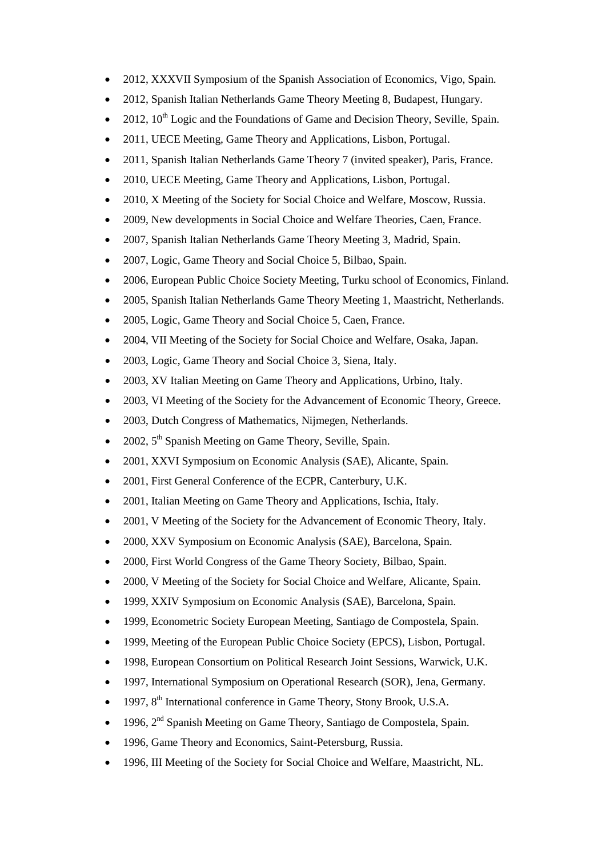- 2012, XXXVII Symposium of the Spanish Association of Economics, Vigo, Spain.
- 2012, Spanish Italian Netherlands Game Theory Meeting 8, Budapest, Hungary.
- 2012,  $10^{th}$  Logic and the Foundations of Game and Decision Theory, Seville, Spain.
- 2011, UECE Meeting, Game Theory and Applications, Lisbon, Portugal.
- 2011, Spanish Italian Netherlands Game Theory 7 (invited speaker), Paris, France.
- 2010, UECE Meeting, Game Theory and Applications, Lisbon, Portugal.
- 2010, X Meeting of the Society for Social Choice and Welfare, Moscow, Russia.
- 2009, New developments in Social Choice and Welfare Theories, Caen, France.
- 2007, Spanish Italian Netherlands Game Theory Meeting 3, Madrid, Spain.
- 2007, Logic, Game Theory and Social Choice 5, Bilbao, Spain.
- 2006, European Public Choice Society Meeting, Turku school of Economics, Finland.
- 2005, Spanish Italian Netherlands Game Theory Meeting 1, Maastricht, Netherlands.
- 2005, Logic, Game Theory and Social Choice 5, Caen, France.
- 2004, VII Meeting of the Society for Social Choice and Welfare, Osaka, Japan.
- 2003, Logic, Game Theory and Social Choice 3, Siena, Italy.
- 2003, XV Italian Meeting on Game Theory and Applications, Urbino, Italy.
- 2003, VI Meeting of the Society for the Advancement of Economic Theory, Greece.
- 2003, Dutch Congress of Mathematics, Nijmegen, Netherlands.
- 2002,  $5<sup>th</sup>$  Spanish Meeting on Game Theory, Seville, Spain.
- 2001, XXVI Symposium on Economic Analysis (SAE), Alicante, Spain.
- 2001, First General Conference of the ECPR, Canterbury, U.K.
- 2001, Italian Meeting on Game Theory and Applications, Ischia, Italy.
- 2001, V Meeting of the Society for the Advancement of Economic Theory, Italy.
- 2000, XXV Symposium on Economic Analysis (SAE), Barcelona, Spain.
- 2000, First World Congress of the Game Theory Society, Bilbao, Spain.
- 2000, V Meeting of the Society for Social Choice and Welfare, Alicante, Spain.
- 1999, XXIV Symposium on Economic Analysis (SAE), Barcelona, Spain.
- 1999, Econometric Society European Meeting, Santiago de Compostela, Spain.
- 1999, Meeting of the European Public Choice Society (EPCS), Lisbon, Portugal.
- 1998, European Consortium on Political Research Joint Sessions, Warwick, U.K.
- 1997, International Symposium on Operational Research (SOR), Jena, Germany.
- 1997,  $8<sup>th</sup>$  International conference in Game Theory, Stony Brook, U.S.A.
- 1996,  $2<sup>nd</sup>$  Spanish Meeting on Game Theory, Santiago de Compostela, Spain.
- 1996, Game Theory and Economics, Saint-Petersburg, Russia.
- 1996, III Meeting of the Society for Social Choice and Welfare, Maastricht, NL.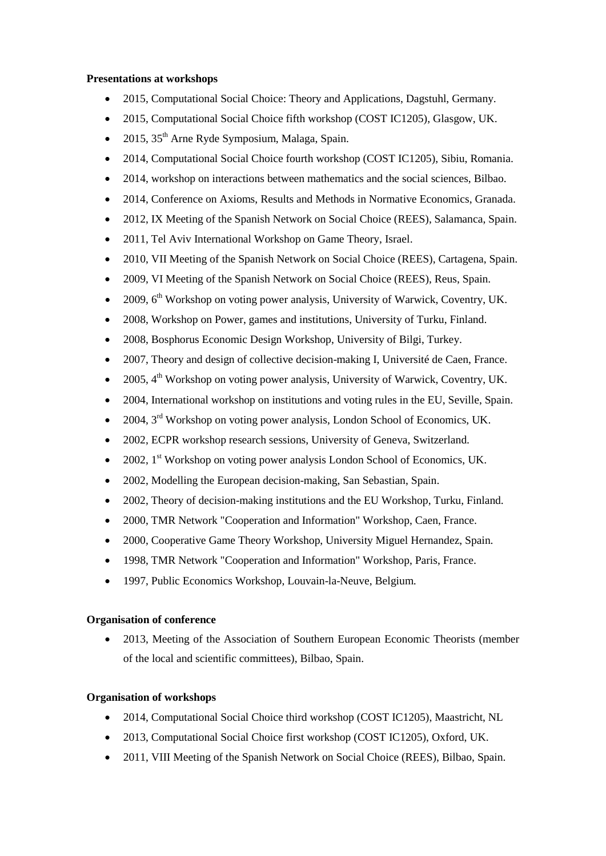#### **Presentations at workshops**

- 2015, Computational Social Choice: Theory and Applications, Dagstuhl, Germany.
- 2015, Computational Social Choice fifth workshop (COST IC1205), Glasgow, UK.
- 2015,  $35<sup>th</sup>$  Arne Ryde Symposium, Malaga, Spain.
- 2014, Computational Social Choice fourth workshop (COST IC1205), Sibiu, Romania.
- 2014, workshop on interactions between mathematics and the social sciences, Bilbao.
- 2014, Conference on Axioms, Results and Methods in Normative Economics, Granada.
- 2012, IX Meeting of the Spanish Network on Social Choice (REES), Salamanca, Spain.
- 2011, Tel Aviv International Workshop on Game Theory, Israel.
- 2010, VII Meeting of the Spanish Network on Social Choice (REES), Cartagena, Spain.
- 2009, VI Meeting of the Spanish Network on Social Choice (REES), Reus, Spain.
- 2009, 6th Workshop on voting power analysis, University of Warwick, Coventry, UK.
- 2008, Workshop on Power, games and institutions, University of Turku, Finland.
- 2008, Bosphorus Economic Design Workshop, University of Bilgi, Turkey.
- 2007, Theory and design of collective decision-making I, Université de Caen, France.
- 2005,  $4<sup>th</sup>$  Workshop on voting power analysis, University of Warwick, Coventry, UK.
- 2004, International workshop on institutions and voting rules in the EU, Seville, Spain.
- 2004, 3<sup>rd</sup> Workshop on voting power analysis, London School of Economics, UK.
- 2002, ECPR workshop research sessions, University of Geneva, Switzerland.
- 2002,  $1<sup>st</sup>$  Workshop on voting power analysis London School of Economics, UK.
- 2002, Modelling the European decision-making, San Sebastian, Spain.
- 2002, Theory of decision-making institutions and the EU Workshop, Turku, Finland.
- 2000, TMR Network "Cooperation and Information" Workshop, Caen, France.
- 2000, Cooperative Game Theory Workshop, University Miguel Hernandez, Spain.
- 1998, TMR Network "Cooperation and Information" Workshop, Paris, France.
- 1997, Public Economics Workshop, Louvain-la-Neuve, Belgium.

# **Organisation of conference**

• 2013, Meeting of the Association of Southern European Economic Theorists (member of the local and scientific committees), Bilbao, Spain.

# **Organisation of workshops**

- 2014, Computational Social Choice third workshop (COST IC1205), Maastricht, NL
- 2013, Computational Social Choice first workshop (COST IC1205), Oxford, UK.
- 2011, VIII Meeting of the Spanish Network on Social Choice (REES), Bilbao, Spain.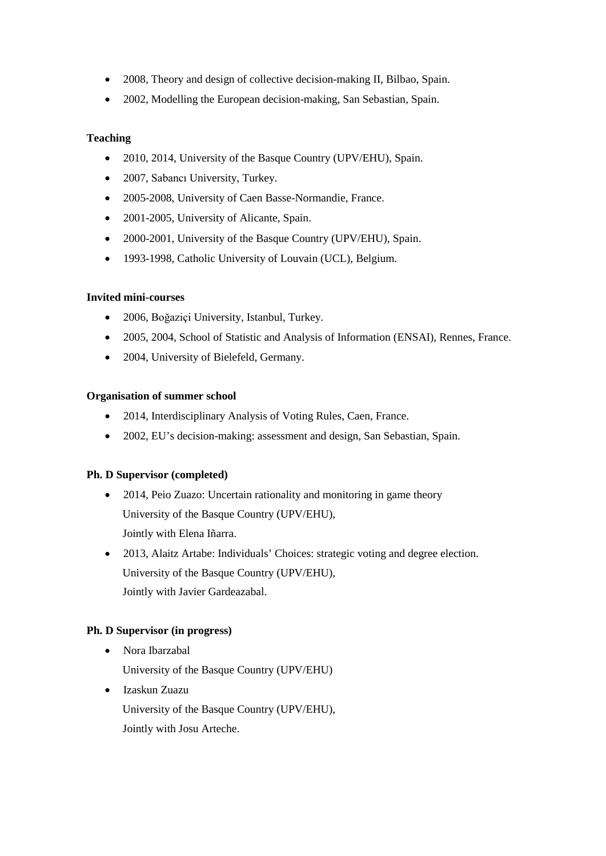- 2008, Theory and design of collective decision-making II, Bilbao, Spain.
- 2002, Modelling the European decision-making, San Sebastian, Spain.

# **Teaching**

- 2010, 2014, University of the Basque Country (UPV/EHU), Spain.
- 2007, Sabancı University, Turkey.
- 2005-2008, University of Caen Basse-Normandie, France.
- 2001-2005, University of Alicante, Spain.
- 2000-2001, University of the Basque Country (UPV/EHU), Spain.
- 1993-1998, Catholic University of Louvain (UCL), Belgium.

# **Invited mini-courses**

- 2006, Boğaziçi University, Istanbul, Turkey.
- 2005, 2004, School of Statistic and Analysis of Information (ENSAI), Rennes, France.
- 2004, University of Bielefeld, Germany.

#### **Organisation of summer school**

- 2014, Interdisciplinary Analysis of Voting Rules, Caen, France.
- 2002, EU's decision-making: assessment and design, San Sebastian, Spain.

# **Ph. D Supervisor (completed)**

- 2014, Peio Zuazo: Uncertain rationality and monitoring in game theory University of the Basque Country (UPV/EHU), Jointly with Elena Iñarra.
- 2013, Alaitz Artabe: Individuals' Choices: strategic voting and degree election. University of the Basque Country (UPV/EHU), Jointly with Javier Gardeazabal.

# **Ph. D Supervisor (in progress)**

• Nora Ibarzabal

University of the Basque Country (UPV/EHU)

• Izaskun Zuazu

University of the Basque Country (UPV/EHU),

Jointly with Josu Arteche.